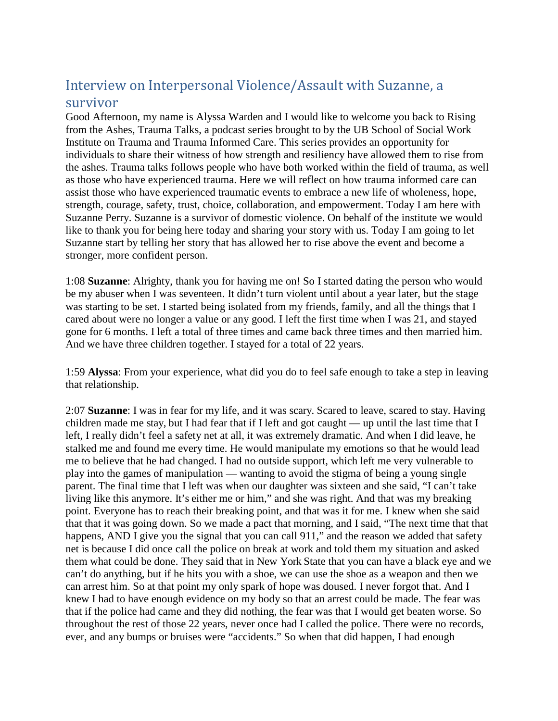## Interview on Interpersonal Violence/Assault with Suzanne, a survivor

Good Afternoon, my name is Alyssa Warden and I would like to welcome you back to Rising from the Ashes, Trauma Talks, a podcast series brought to by the UB School of Social Work Institute on Trauma and Trauma Informed Care. This series provides an opportunity for individuals to share their witness of how strength and resiliency have allowed them to rise from the ashes. Trauma talks follows people who have both worked within the field of trauma, as well as those who have experienced trauma. Here we will reflect on how trauma informed care can assist those who have experienced traumatic events to embrace a new life of wholeness, hope, strength, courage, safety, trust, choice, collaboration, and empowerment. Today I am here with Suzanne Perry. Suzanne is a survivor of domestic violence. On behalf of the institute we would like to thank you for being here today and sharing your story with us. Today I am going to let Suzanne start by telling her story that has allowed her to rise above the event and become a stronger, more confident person.

1:08 **Suzanne**: Alrighty, thank you for having me on! So I started dating the person who would be my abuser when I was seventeen. It didn't turn violent until about a year later, but the stage was starting to be set. I started being isolated from my friends, family, and all the things that I cared about were no longer a value or any good. I left the first time when I was 21, and stayed gone for 6 months. I left a total of three times and came back three times and then married him. And we have three children together. I stayed for a total of 22 years.

1:59 **Alyssa**: From your experience, what did you do to feel safe enough to take a step in leaving that relationship.

2:07 **Suzanne**: I was in fear for my life, and it was scary. Scared to leave, scared to stay. Having children made me stay, but I had fear that if I left and got caught — up until the last time that I left, I really didn't feel a safety net at all, it was extremely dramatic. And when I did leave, he stalked me and found me every time. He would manipulate my emotions so that he would lead me to believe that he had changed. I had no outside support, which left me very vulnerable to play into the games of manipulation — wanting to avoid the stigma of being a young single parent. The final time that I left was when our daughter was sixteen and she said, "I can't take living like this anymore. It's either me or him," and she was right. And that was my breaking point. Everyone has to reach their breaking point, and that was it for me. I knew when she said that that it was going down. So we made a pact that morning, and I said, "The next time that that happens, AND I give you the signal that you can call 911," and the reason we added that safety net is because I did once call the police on break at work and told them my situation and asked them what could be done. They said that in New York State that you can have a black eye and we can't do anything, but if he hits you with a shoe, we can use the shoe as a weapon and then we can arrest him. So at that point my only spark of hope was doused. I never forgot that. And I knew I had to have enough evidence on my body so that an arrest could be made. The fear was that if the police had came and they did nothing, the fear was that I would get beaten worse. So throughout the rest of those 22 years, never once had I called the police. There were no records, ever, and any bumps or bruises were "accidents." So when that did happen, I had enough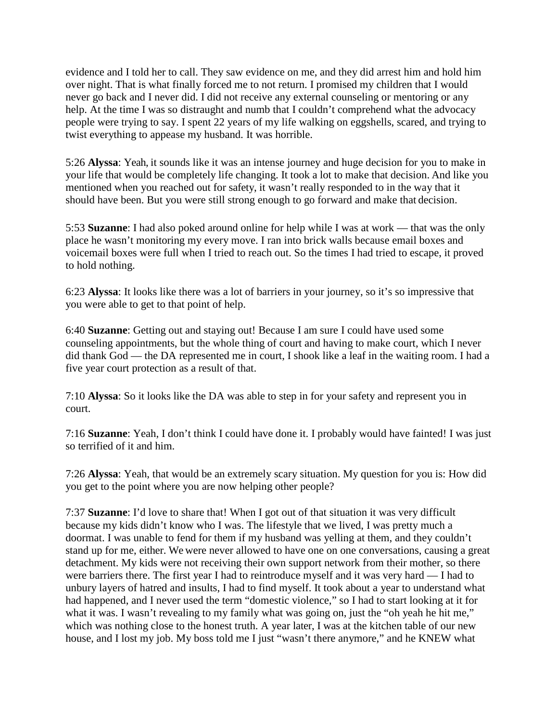evidence and I told her to call. They saw evidence on me, and they did arrest him and hold him over night. That is what finally forced me to not return. I promised my children that I would never go back and I never did. I did not receive any external counseling or mentoring or any help. At the time I was so distraught and numb that I couldn't comprehend what the advocacy people were trying to say. I spent 22 years of my life walking on eggshells, scared, and trying to twist everything to appease my husband. It was horrible.

5:26 **Alyssa**: Yeah, it sounds like it was an intense journey and huge decision for you to make in your life that would be completely life changing. It took a lot to make that decision. And like you mentioned when you reached out for safety, it wasn't really responded to in the way that it should have been. But you were still strong enough to go forward and make that decision.

5:53 **Suzanne**: I had also poked around online for help while I was at work — that was the only place he wasn't monitoring my every move. I ran into brick walls because email boxes and voicemail boxes were full when I tried to reach out. So the times I had tried to escape, it proved to hold nothing.

6:23 **Alyssa**: It looks like there was a lot of barriers in your journey, so it's so impressive that you were able to get to that point of help.

6:40 **Suzanne**: Getting out and staying out! Because I am sure I could have used some counseling appointments, but the whole thing of court and having to make court, which I never did thank God — the DA represented me in court, I shook like a leaf in the waiting room. I had a five year court protection as a result of that.

7:10 **Alyssa**: So it looks like the DA was able to step in for your safety and represent you in court.

7:16 **Suzanne**: Yeah, I don't think I could have done it. I probably would have fainted! I was just so terrified of it and him.

7:26 **Alyssa**: Yeah, that would be an extremely scary situation. My question for you is: How did you get to the point where you are now helping other people?

7:37 **Suzanne**: I'd love to share that! When I got out of that situation it was very difficult because my kids didn't know who I was. The lifestyle that we lived, I was pretty much a doormat. I was unable to fend for them if my husband was yelling at them, and they couldn't stand up for me, either. We were never allowed to have one on one conversations, causing a great detachment. My kids were not receiving their own support network from their mother, so there were barriers there. The first year I had to reintroduce myself and it was very hard — I had to unbury layers of hatred and insults, I had to find myself. It took about a year to understand what had happened, and I never used the term "domestic violence," so I had to start looking at it for what it was. I wasn't revealing to my family what was going on, just the "oh yeah he hit me," which was nothing close to the honest truth. A year later, I was at the kitchen table of our new house, and I lost my job. My boss told me I just "wasn't there anymore," and he KNEW what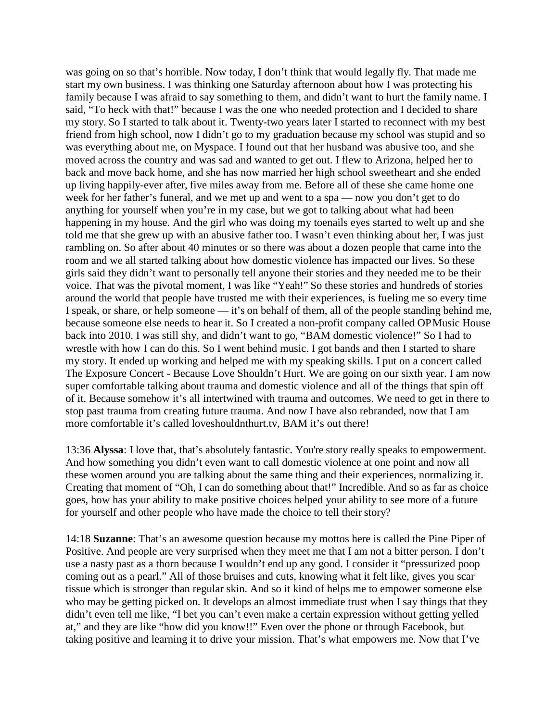was going on so that's horrible. Now today, I don't think that would legally fly. That made me start my own business. I was thinking one Saturday afternoon about how I was protecting his family because I was afraid to say something to them, and didn't want to hurt the family name. I said, "To heck with that!" because I was the one who needed protection and I decided to share my story. So I started to talk about it. Twenty-two years later I started to reconnect with my best friend from high school, now I didn't go to my graduation because my school was stupid and so was everything about me, on Myspace. I found out that her husband was abusive too, and she moved across the country and was sad and wanted to get out. I flew to Arizona, helped her to back and move back home, and she has now married her high school sweetheart and she ended up living happily-ever after, five miles away from me. Before all of these she came home one week for her father's funeral, and we met up and went to a spa — now you don't get to do anything for yourself when you're in my case, but we got to talking about what had been happening in my house. And the girl who was doing my toenails eyes started to welt up and she told me that she grew up with an abusive father too. I wasn't even thinking about her, I was just rambling on. So after about 40 minutes or so there was about a dozen people that came into the room and we all started talking about how domestic violence has impacted our lives. So these girls said they didn't want to personally tell anyone their stories and they needed me to be their voice. That was the pivotal moment, I was like "Yeah!" So these stories and hundreds of stories around the world that people have trusted me with their experiences, is fueling me so every time I speak, or share, or help someone — it's on behalf of them, all of the people standing behind me, because someone else needs to hear it. So I created a non-profit company called OP Music House back into 2010. I was still shy, and didn't want to go, "BAM domestic violence!" So I had to wrestle with how I can do this. So I went behind music. I got bands and then I started to share my story. It ended up working and helped me with my speaking skills. I put on a concert called The Exposure Concert - Because Love Shouldn't Hurt. We are going on our sixth year. I am now super comfortable talking about trauma and domestic violence and all of the things that spin off of it. Because somehow it's all intertwined with trauma and outcomes. We need to get in there to stop past trauma from creating future trauma. And now I have also rebranded, now that I am more comfortable it's called loveshouldnthurt.tv, BAM it's out there!

13:36 **Alyssa**: I love that, that's absolutely fantastic. You're story really speaks to empowerment. And how something you didn't even want to call domestic violence at one point and now all these women around you are talking about the same thing and their experiences, normalizing it. Creating that moment of "Oh, I can do something about that!" Incredible. And so as far as choice goes, how has your ability to make positive choices helped your ability to see more of a future for yourself and other people who have made the choice to tell their story?

14:18 **Suzanne**: That's an awesome question because my mottos here is called the Pine Piper of Positive. And people are very surprised when they meet me that I am not a bitter person. I don't use a nasty past as a thorn because I wouldn't end up any good. I consider it "pressurized poop coming out as a pearl." All of those bruises and cuts, knowing what it felt like, gives you scar tissue which is stronger than regular skin. And so it kind of helps me to empower someone else who may be getting picked on. It develops an almost immediate trust when I say things that they didn't even tell me like, "I bet you can't even make a certain expression without getting yelled at," and they are like "how did you know!!" Even over the phone or through Facebook, but taking positive and learning it to drive your mission. That's what empowers me. Now that I've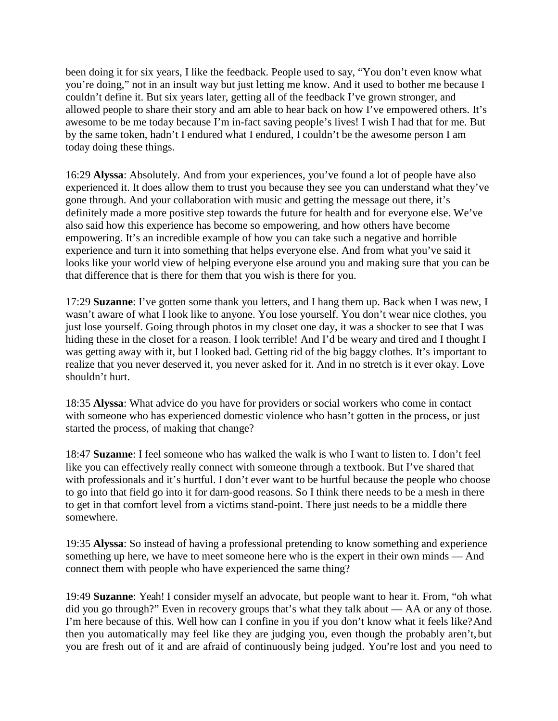been doing it for six years, I like the feedback. People used to say, "You don't even know what you're doing," not in an insult way but just letting me know. And it used to bother me because I couldn't define it. But six years later, getting all of the feedback I've grown stronger, and allowed people to share their story and am able to hear back on how I've empowered others. It's awesome to be me today because I'm in-fact saving people's lives! I wish I had that for me. But by the same token, hadn't I endured what I endured, I couldn't be the awesome person I am today doing these things.

16:29 **Alyssa**: Absolutely. And from your experiences, you've found a lot of people have also experienced it. It does allow them to trust you because they see you can understand what they've gone through. And your collaboration with music and getting the message out there, it's definitely made a more positive step towards the future for health and for everyone else. We've also said how this experience has become so empowering, and how others have become empowering. It's an incredible example of how you can take such a negative and horrible experience and turn it into something that helps everyone else. And from what you've said it looks like your world view of helping everyone else around you and making sure that you can be that difference that is there for them that you wish is there for you.

17:29 **Suzanne**: I've gotten some thank you letters, and I hang them up. Back when I was new, I wasn't aware of what I look like to anyone. You lose yourself. You don't wear nice clothes, you just lose yourself. Going through photos in my closet one day, it was a shocker to see that I was hiding these in the closet for a reason. I look terrible! And I'd be weary and tired and I thought I was getting away with it, but I looked bad. Getting rid of the big baggy clothes. It's important to realize that you never deserved it, you never asked for it. And in no stretch is it ever okay. Love shouldn't hurt.

18:35 **Alyssa**: What advice do you have for providers or social workers who come in contact with someone who has experienced domestic violence who hasn't gotten in the process, or just started the process, of making that change?

18:47 **Suzanne**: I feel someone who has walked the walk is who I want to listen to. I don't feel like you can effectively really connect with someone through a textbook. But I've shared that with professionals and it's hurtful. I don't ever want to be hurtful because the people who choose to go into that field go into it for darn-good reasons. So I think there needs to be a mesh in there to get in that comfort level from a victims stand-point. There just needs to be a middle there somewhere.

19:35 **Alyssa**: So instead of having a professional pretending to know something and experience something up here, we have to meet someone here who is the expert in their own minds — And connect them with people who have experienced the same thing?

19:49 **Suzanne**: Yeah! I consider myself an advocate, but people want to hear it. From, "oh what did you go through?" Even in recovery groups that's what they talk about — AA or any of those. I'm here because of this. Well how can I confine in you if you don't know what it feels like?And then you automatically may feel like they are judging you, even though the probably aren't, but you are fresh out of it and are afraid of continuously being judged. You're lost and you need to